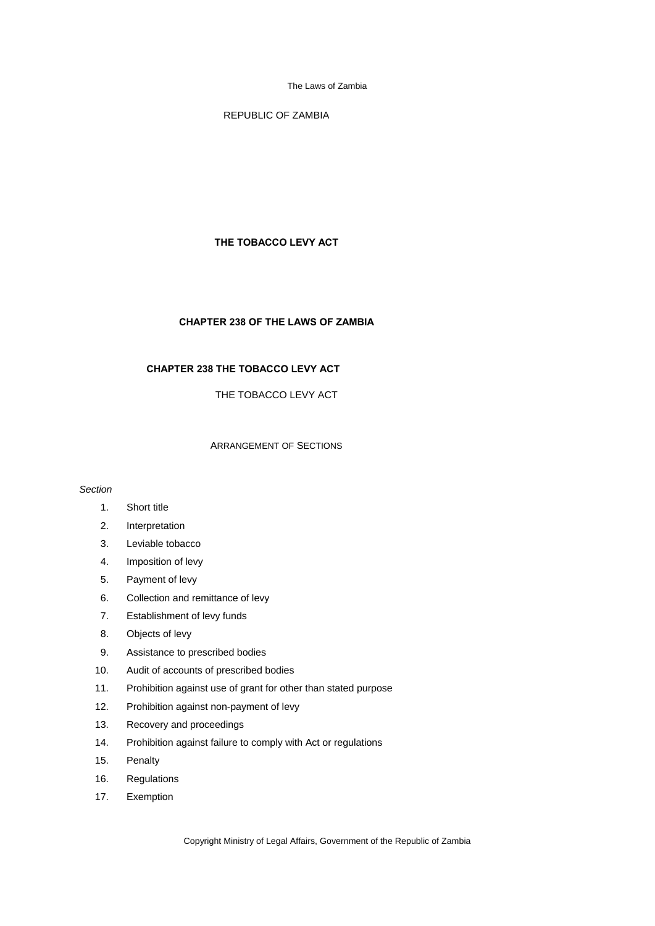REPUBLIC OF ZAMBIA

## **THE TOBACCO LEVY ACT**

## **CHAPTER 238 OF THE LAWS OF ZAMBIA**

# **CHAPTER 238 THE TOBACCO LEVY ACT**

THE TOBACCO LEVY ACT

#### ARRANGEMENT OF SECTIONS

### *Section*

- 1. Short title
- 2. Interpretation
- 3. Leviable tobacco
- 4. Imposition of levy
- 5. Payment of levy
- 6. Collection and remittance of levy
- 7. Establishment of levy funds
- 8. Objects of levy
- 9. Assistance to prescribed bodies
- 10. Audit of accounts of prescribed bodies
- 11. Prohibition against use of grant for other than stated purpose
- 12. Prohibition against non-payment of levy
- 13. Recovery and proceedings
- 14. Prohibition against failure to comply with Act or regulations
- 15. Penalty
- 16. Regulations
- 17. Exemption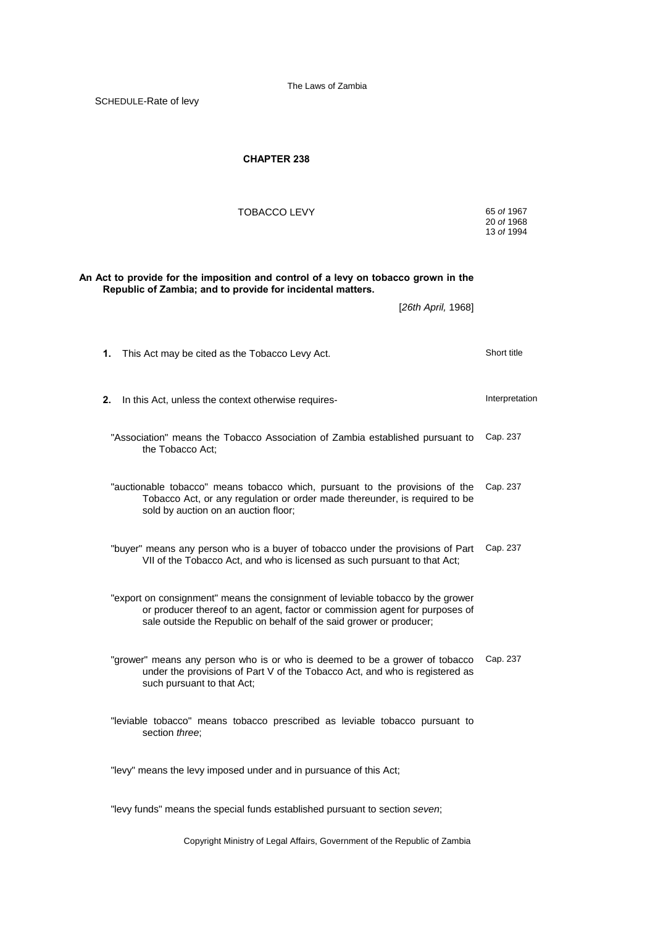SCHEDULE-Rate of levy

# **CHAPTER 238**

| TOBACCO LEVY                                                                                                                                                                                                                          | 65 of 1967<br>20 of 1968<br>13 of 1994 |
|---------------------------------------------------------------------------------------------------------------------------------------------------------------------------------------------------------------------------------------|----------------------------------------|
| An Act to provide for the imposition and control of a levy on tobacco grown in the<br>Republic of Zambia; and to provide for incidental matters.                                                                                      |                                        |
| [26th April, 1968]                                                                                                                                                                                                                    |                                        |
| 1.<br>This Act may be cited as the Tobacco Levy Act.                                                                                                                                                                                  | Short title                            |
| 2.<br>In this Act, unless the context otherwise requires-                                                                                                                                                                             | Interpretation                         |
| "Association" means the Tobacco Association of Zambia established pursuant to<br>the Tobacco Act;                                                                                                                                     | Cap. 237                               |
| "auctionable tobacco" means tobacco which, pursuant to the provisions of the<br>Tobacco Act, or any regulation or order made thereunder, is required to be<br>sold by auction on an auction floor;                                    | Cap. 237                               |
| "buyer" means any person who is a buyer of tobacco under the provisions of Part<br>VII of the Tobacco Act, and who is licensed as such pursuant to that Act;                                                                          | Cap. 237                               |
| "export on consignment" means the consignment of leviable tobacco by the grower<br>or producer thereof to an agent, factor or commission agent for purposes of<br>sale outside the Republic on behalf of the said grower or producer; |                                        |
| "grower" means any person who is or who is deemed to be a grower of tobacco<br>under the provisions of Part V of the Tobacco Act, and who is registered as<br>such pursuant to that Act;                                              | Cap. 237                               |
| "leviable tobacco" means tobacco prescribed as leviable tobacco pursuant to<br>section three:                                                                                                                                         |                                        |
| "levy" means the levy imposed under and in pursuance of this Act;                                                                                                                                                                     |                                        |
| "levy funds" means the special funds established pursuant to section seven;                                                                                                                                                           |                                        |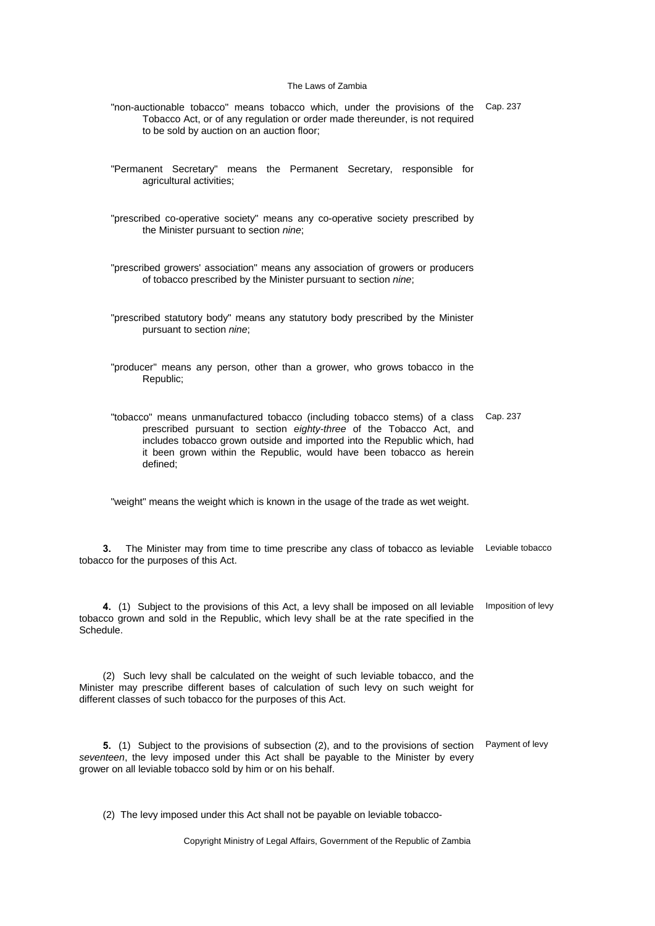- "non-auctionable tobacco" means tobacco which, under the provisions of the Cap. 237 Tobacco Act, or of any regulation or order made thereunder, is not required to be sold by auction on an auction floor;
- "Permanent Secretary" means the Permanent Secretary, responsible for agricultural activities;
- "prescribed co-operative society" means any co-operative society prescribed by the Minister pursuant to section *nine*;
- "prescribed growers' association" means any association of growers or producers of tobacco prescribed by the Minister pursuant to section *nine*;
- "prescribed statutory body" means any statutory body prescribed by the Minister pursuant to section *nine*;
- "producer" means any person, other than a grower, who grows tobacco in the Republic;
- "tobacco" means unmanufactured tobacco (including tobacco stems) of a class prescribed pursuant to section *eighty-three* of the Tobacco Act, and includes tobacco grown outside and imported into the Republic which, had it been grown within the Republic, would have been tobacco as herein defined; Cap. 237

"weight" means the weight which is known in the usage of the trade as wet weight.

**3.** The Minister may from time to time prescribe any class of tobacco as leviable Leviable tobacco tobacco for the purposes of this Act.

**4.** (1) Subject to the provisions of this Act, a levy shall be imposed on all leviable tobacco grown and sold in the Republic, which levy shall be at the rate specified in the Schedule. Imposition of levy

(2) Such levy shall be calculated on the weight of such leviable tobacco, and the Minister may prescribe different bases of calculation of such levy on such weight for different classes of such tobacco for the purposes of this Act.

**5.** (1) Subject to the provisions of subsection (2), and to the provisions of section Payment of levy *seventeen*, the levy imposed under this Act shall be payable to the Minister by every grower on all leviable tobacco sold by him or on his behalf.

(2) The levy imposed under this Act shall not be payable on leviable tobacco-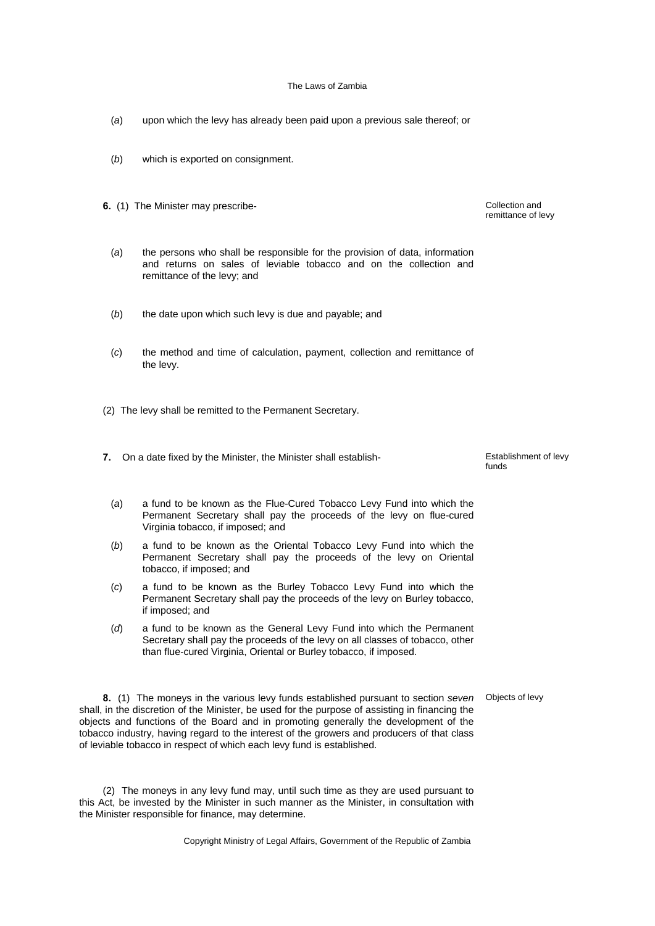- (*a*) upon which the levy has already been paid upon a previous sale thereof; or
- (*b*) which is exported on consignment.
- **6.** (1) The Minister may prescribe-<br> **6.** (1) The Minister may prescribe-
	- (*a*) the persons who shall be responsible for the provision of data, information and returns on sales of leviable tobacco and on the collection and remittance of the levy; and
	- (*b*) the date upon which such levy is due and payable; and
	- (*c*) the method and time of calculation, payment, collection and remittance of the levy.
- (2) The levy shall be remitted to the Permanent Secretary.
- **7.** On a date fixed by the Minister, the Minister shall establish-<br> **7.** On a date fixed by the Minister, the Minister shall establish-

(*a*) a fund to be known as the Flue-Cured Tobacco Levy Fund into which the Permanent Secretary shall pay the proceeds of the levy on flue-cured Virginia tobacco, if imposed; and

- (*b*) a fund to be known as the Oriental Tobacco Levy Fund into which the Permanent Secretary shall pay the proceeds of the levy on Oriental tobacco, if imposed; and
- (*c*) a fund to be known as the Burley Tobacco Levy Fund into which the Permanent Secretary shall pay the proceeds of the levy on Burley tobacco, if imposed; and
- (*d*) a fund to be known as the General Levy Fund into which the Permanent Secretary shall pay the proceeds of the levy on all classes of tobacco, other than flue-cured Virginia, Oriental or Burley tobacco, if imposed.

**8.** (1) The moneys in the various levy funds established pursuant to section *seven* shall, in the discretion of the Minister, be used for the purpose of assisting in financing the objects and functions of the Board and in promoting generally the development of the tobacco industry, having regard to the interest of the growers and producers of that class of leviable tobacco in respect of which each levy fund is established.

(2) The moneys in any levy fund may, until such time as they are used pursuant to this Act, be invested by the Minister in such manner as the Minister, in consultation with the Minister responsible for finance, may determine.

Copyright Ministry of Legal Affairs, Government of the Republic of Zambia

remittance of levy

funds

Objects of levy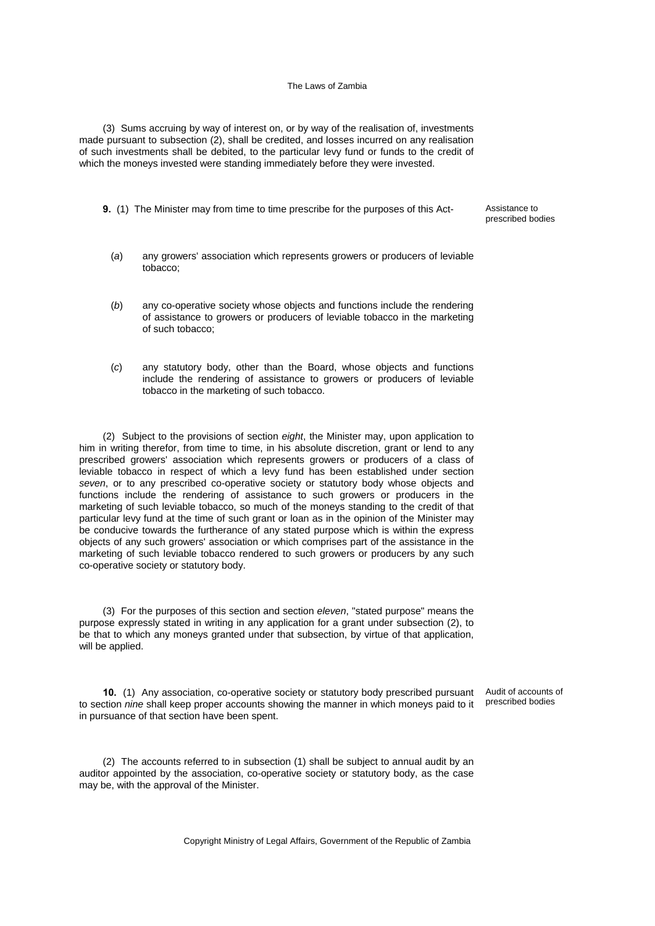(3) Sums accruing by way of interest on, or by way of the realisation of, investments made pursuant to subsection (2), shall be credited, and losses incurred on any realisation of such investments shall be debited, to the particular levy fund or funds to the credit of which the moneys invested were standing immediately before they were invested.

**9.** (1) The Minister may from time to time prescribe for the purposes of this Act-<br>Assistance to

prescribed bodies

- (*a*) any growers' association which represents growers or producers of leviable tobacco;
- (*b*) any co-operative society whose objects and functions include the rendering of assistance to growers or producers of leviable tobacco in the marketing of such tobacco;
- (*c*) any statutory body, other than the Board, whose objects and functions include the rendering of assistance to growers or producers of leviable tobacco in the marketing of such tobacco.

(2) Subject to the provisions of section *eight*, the Minister may, upon application to him in writing therefor, from time to time, in his absolute discretion, grant or lend to any prescribed growers' association which represents growers or producers of a class of leviable tobacco in respect of which a levy fund has been established under section *seven*, or to any prescribed co-operative society or statutory body whose objects and functions include the rendering of assistance to such growers or producers in the marketing of such leviable tobacco, so much of the moneys standing to the credit of that particular levy fund at the time of such grant or loan as in the opinion of the Minister may be conducive towards the furtherance of any stated purpose which is within the express objects of any such growers' association or which comprises part of the assistance in the marketing of such leviable tobacco rendered to such growers or producers by any such co-operative society or statutory body.

(3) For the purposes of this section and section *eleven*, "stated purpose" means the purpose expressly stated in writing in any application for a grant under subsection (2), to be that to which any moneys granted under that subsection, by virtue of that application, will be applied.

**10.** (1) Any association, co-operative society or statutory body prescribed pursuant to section *nine* shall keep proper accounts showing the manner in which moneys paid to it in pursuance of that section have been spent. Audit of accounts of

prescribed bodies

(2) The accounts referred to in subsection (1) shall be subject to annual audit by an auditor appointed by the association, co-operative society or statutory body, as the case may be, with the approval of the Minister.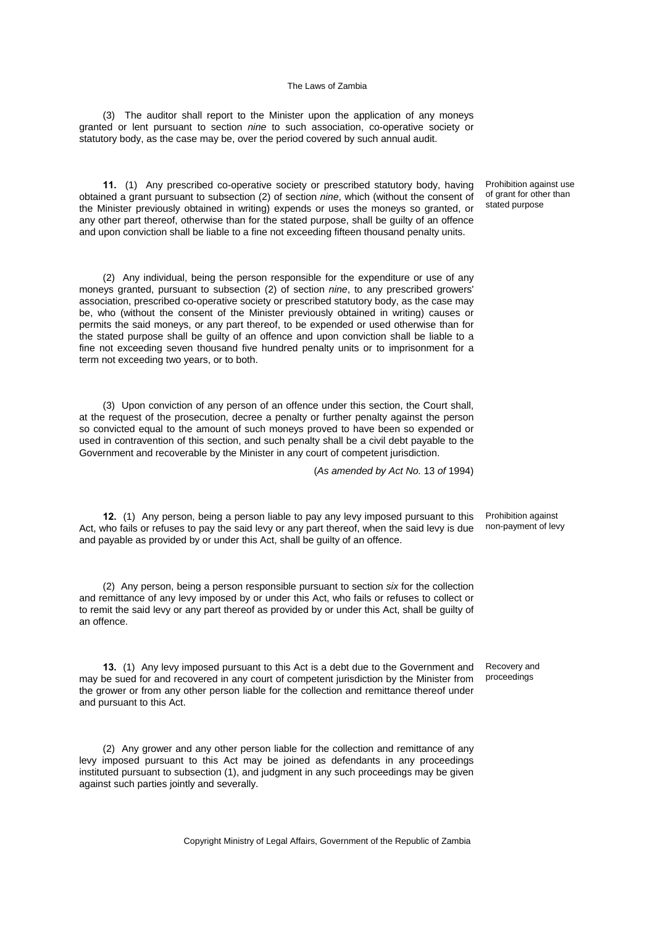(3) The auditor shall report to the Minister upon the application of any moneys granted or lent pursuant to section *nine* to such association, co-operative society or statutory body, as the case may be, over the period covered by such annual audit.

**11.** (1) Any prescribed co-operative society or prescribed statutory body, having obtained a grant pursuant to subsection (2) of section *nine*, which (without the consent of the Minister previously obtained in writing) expends or uses the moneys so granted, or any other part thereof, otherwise than for the stated purpose, shall be guilty of an offence and upon conviction shall be liable to a fine not exceeding fifteen thousand penalty units.

(2) Any individual, being the person responsible for the expenditure or use of any moneys granted, pursuant to subsection (2) of section *nine*, to any prescribed growers' association, prescribed co-operative society or prescribed statutory body, as the case may be, who (without the consent of the Minister previously obtained in writing) causes or permits the said moneys, or any part thereof, to be expended or used otherwise than for the stated purpose shall be guilty of an offence and upon conviction shall be liable to a fine not exceeding seven thousand five hundred penalty units or to imprisonment for a term not exceeding two years, or to both.

(3) Upon conviction of any person of an offence under this section, the Court shall, at the request of the prosecution, decree a penalty or further penalty against the person so convicted equal to the amount of such moneys proved to have been so expended or used in contravention of this section, and such penalty shall be a civil debt payable to the Government and recoverable by the Minister in any court of competent jurisdiction.

(*As amended by Act No.* 13 *of* 1994)

**12.** (1) Any person, being a person liable to pay any levy imposed pursuant to this Act, who fails or refuses to pay the said levy or any part thereof, when the said levy is due and payable as provided by or under this Act, shall be guilty of an offence.

(2) Any person, being a person responsible pursuant to section *six* for the collection and remittance of any levy imposed by or under this Act, who fails or refuses to collect or to remit the said levy or any part thereof as provided by or under this Act, shall be guilty of an offence.

**13.** (1) Any levy imposed pursuant to this Act is a debt due to the Government and may be sued for and recovered in any court of competent jurisdiction by the Minister from the grower or from any other person liable for the collection and remittance thereof under and pursuant to this Act.

(2) Any grower and any other person liable for the collection and remittance of any levy imposed pursuant to this Act may be joined as defendants in any proceedings instituted pursuant to subsection (1), and judgment in any such proceedings may be given against such parties jointly and severally.

Prohibition against use of grant for other than stated purpose

non-payment of levy

Prohibition against

Recovery and proceedings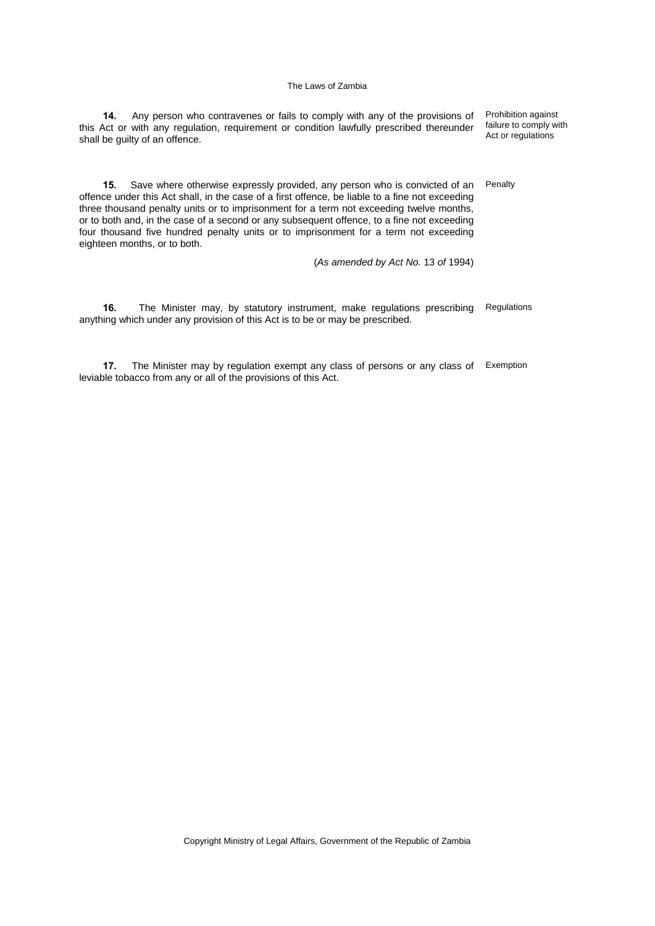| Any person who contravenes or fails to comply with any of the provisions of<br>14.<br>this Act or with any regulation, reguirement or condition lawfully prescribed thereunder<br>shall be guilty of an offence.                                                                                                                                                                                                                                                                                      | Prohibition against<br>failure to comply with<br>Act or regulations |
|-------------------------------------------------------------------------------------------------------------------------------------------------------------------------------------------------------------------------------------------------------------------------------------------------------------------------------------------------------------------------------------------------------------------------------------------------------------------------------------------------------|---------------------------------------------------------------------|
| Save where otherwise expressly provided, any person who is convicted of an<br>15.<br>offence under this Act shall, in the case of a first offence, be liable to a fine not exceeding<br>three thousand penalty units or to imprisonment for a term not exceeding twelve months,<br>or to both and, in the case of a second or any subsequent offence, to a fine not exceeding<br>four thousand five hundred penalty units or to imprisonment for a term not exceeding<br>eighteen months, or to both. | Penalty                                                             |
| (As amended by Act No. 13 of 1994)                                                                                                                                                                                                                                                                                                                                                                                                                                                                    |                                                                     |
| 16.<br>The Minister may, by statutory instrument, make regulations prescribing<br>anything which under any provision of this Act is to be or may be prescribed.                                                                                                                                                                                                                                                                                                                                       | Regulations                                                         |

**17.** The Minister may by regulation exempt any class of persons or any class of leviable tobacco from any or all of the provisions of this Act. Exemption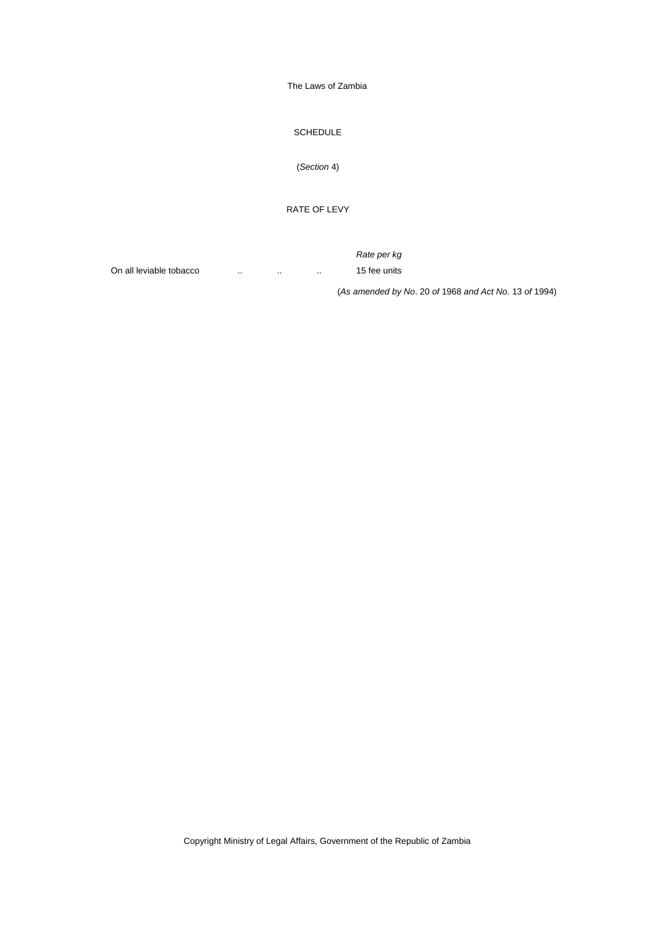SCHEDULE

(*Section* 4)

RATE OF LEVY

 *Rate per kg* On all leviable tobacco ... ... ... ... 15 fee units

(*As amended by No*. 20 *of* 1968 *and Act No.* 13 *of* 1994)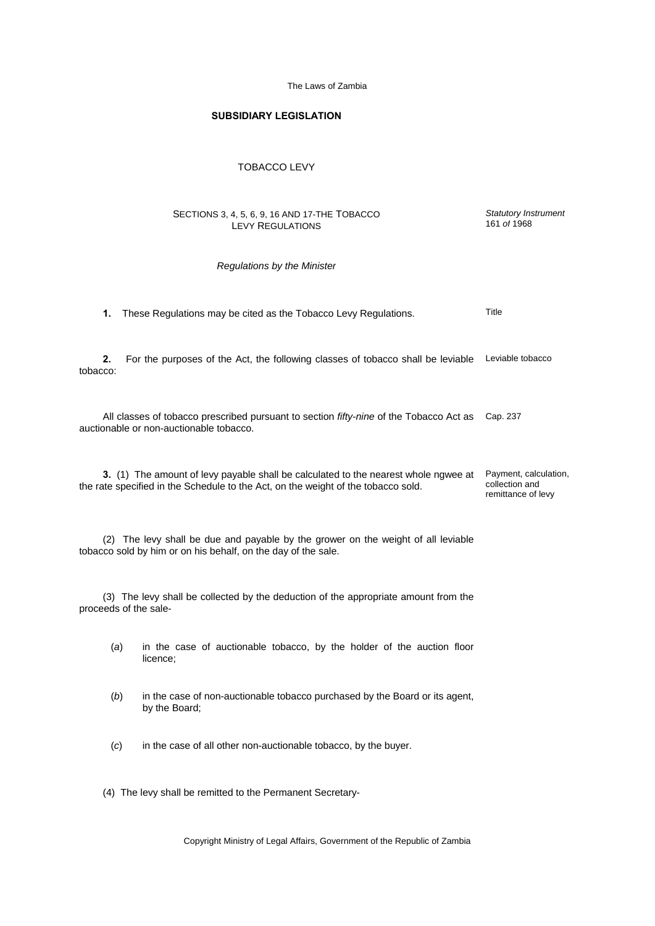*Statutory Instrument* 161 *of* 1968

## **SUBSIDIARY LEGISLATION**

### TOBACCO LEVY

#### SECTIONS 3, 4, 5, 6, 9, 16 AND 17-THE TOBACCO LEVY REGULATIONS

#### *Regulations by the Minister*

|  |  |  | 1. These Regulations may be cited as the Tobacco Levy Regulations. | Title |
|--|--|--|--------------------------------------------------------------------|-------|
|--|--|--|--------------------------------------------------------------------|-------|

**2.** For the purposes of the Act, the following classes of tobacco shall be leviable Leviable tobacco tobacco:

All classes of tobacco prescribed pursuant to section *fifty-nine* of the Tobacco Act as Cap. 237 auctionable or non-auctionable tobacco.

**3.** (1) The amount of levy payable shall be calculated to the nearest whole ngwee at the rate specified in the Schedule to the Act, on the weight of the tobacco sold. Payment, calculation, collection and remittance of levy

(2) The levy shall be due and payable by the grower on the weight of all leviable tobacco sold by him or on his behalf, on the day of the sale.

(3) The levy shall be collected by the deduction of the appropriate amount from the proceeds of the sale-

| (a) |          |  | in the case of auctionable tobacco, by the holder of the auction floor |  |  |  |  |
|-----|----------|--|------------------------------------------------------------------------|--|--|--|--|
|     | licence: |  |                                                                        |  |  |  |  |

- (*b*) in the case of non-auctionable tobacco purchased by the Board or its agent, by the Board;
- (*c*) in the case of all other non-auctionable tobacco, by the buyer.
- (4) The levy shall be remitted to the Permanent Secretary-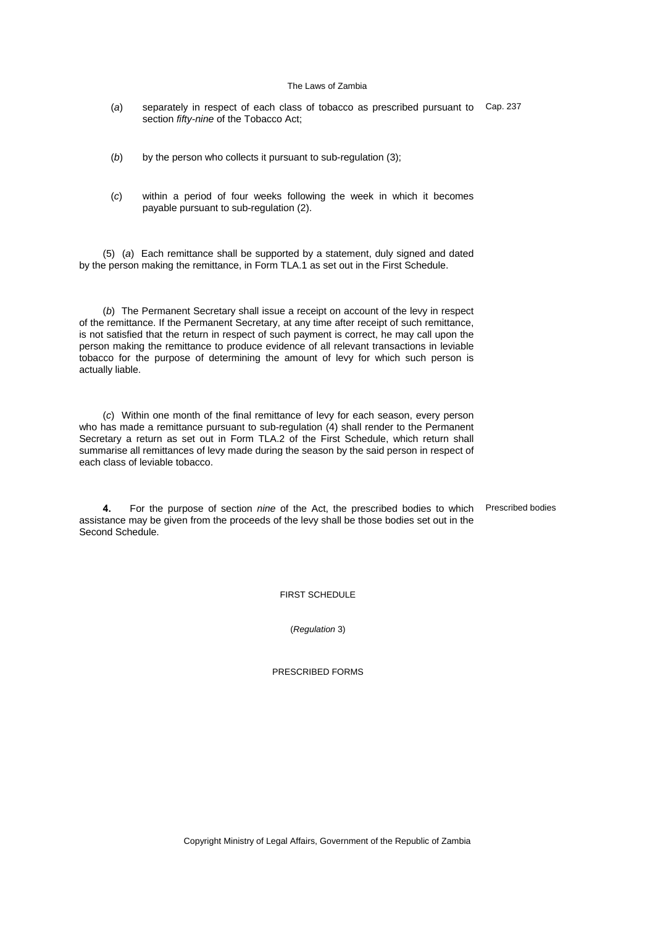- (*a*) separately in respect of each class of tobacco as prescribed pursuant to Cap. 237 section *fifty-nine* of the Tobacco Act;
- (*b*) by the person who collects it pursuant to sub-regulation (3);
- (*c*) within a period of four weeks following the week in which it becomes payable pursuant to sub-regulation (2).

(5) (*a*) Each remittance shall be supported by a statement, duly signed and dated by the person making the remittance, in Form TLA.1 as set out in the First Schedule.

(*b*) The Permanent Secretary shall issue a receipt on account of the levy in respect of the remittance. If the Permanent Secretary, at any time after receipt of such remittance, is not satisfied that the return in respect of such payment is correct, he may call upon the person making the remittance to produce evidence of all relevant transactions in leviable tobacco for the purpose of determining the amount of levy for which such person is actually liable.

(*c*) Within one month of the final remittance of levy for each season, every person who has made a remittance pursuant to sub-regulation (4) shall render to the Permanent Secretary a return as set out in Form TLA.2 of the First Schedule, which return shall summarise all remittances of levy made during the season by the said person in respect of each class of leviable tobacco.

**4.** For the purpose of section *nine* of the Act, the prescribed bodies to which Prescribed bodies assistance may be given from the proceeds of the levy shall be those bodies set out in the Second Schedule.

FIRST SCHEDULE

(*Regulation* 3)

PRESCRIBED FORMS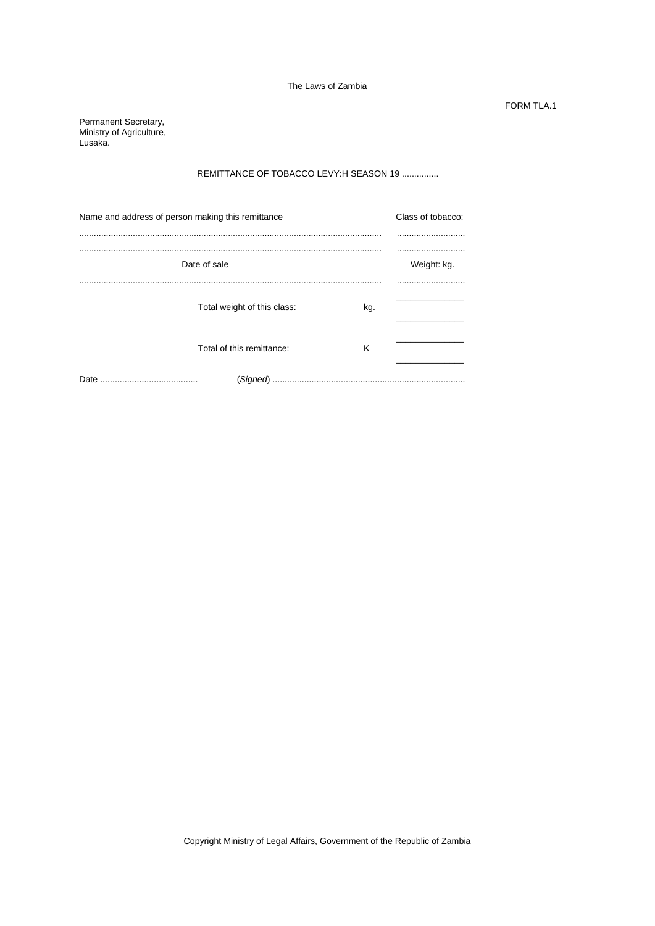FORM TLA.1

Permanent Secretary, Ministry of Agriculture, Lusaka.

# REMITTANCE OF TOBACCO LEVY:H SEASON 19 ...............

| Name and address of person making this remittance | Class of tobacco:           |     |  |
|---------------------------------------------------|-----------------------------|-----|--|
|                                                   |                             |     |  |
| Date of sale                                      | Weight: kg.                 |     |  |
|                                                   | Total weight of this class: | kg. |  |
|                                                   | Total of this remittance:   | ĸ   |  |
|                                                   |                             |     |  |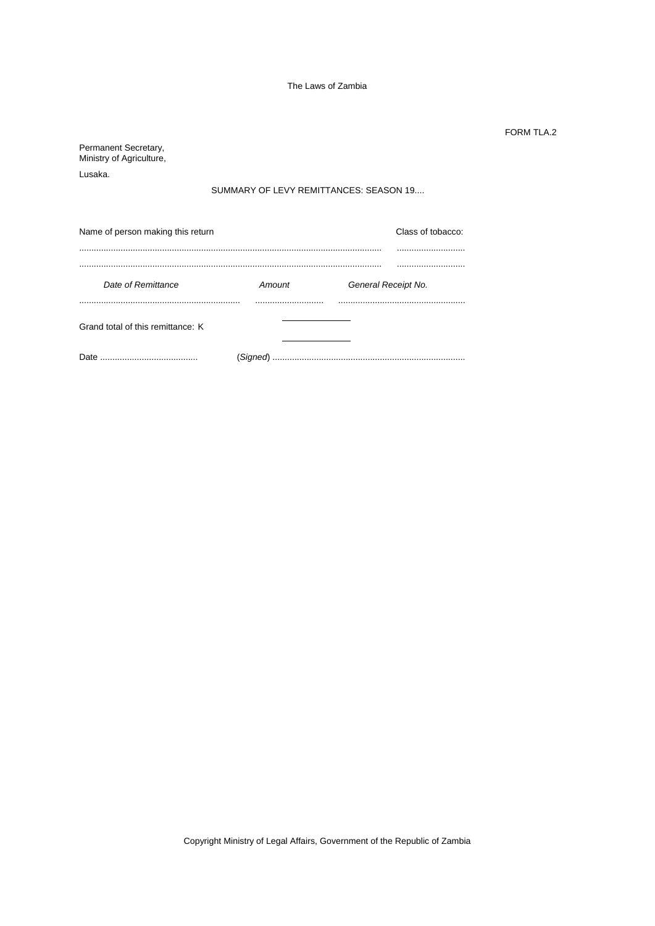FORM TLA.2

Permanent Secretary, Ministry of Agriculture, Lusaka. SUMMARY OF LEVY REMITTANCES: SEASON 19.... Name of person making this return **Name of person making this return** Class of tobacco: .............................................................................................................................. ............................ .............................................................................................................................. ............................ **Date of Remittance Amount** Amount General Receipt No. .................................................................... ............................ .................................................... Grand total of this remittance: K Date ........................................ (*Signed*) ................................................................................